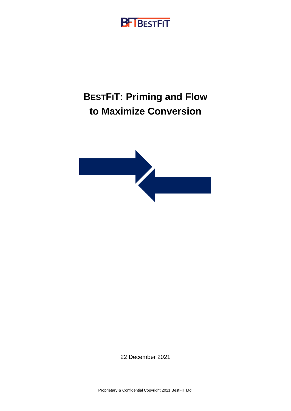## **BF** BESTFIT

# **BESTFIT: Priming and Flow to Maximize Conversion**



22 December 2021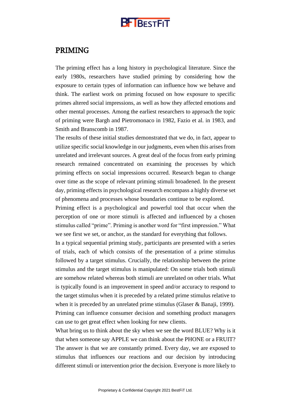

### PRIMING

The priming effect has a long history in psychological literature. Since the early 1980s, researchers have studied priming by considering how the exposure to certain types of information can influence how we behave and think. The earliest work on priming focused on how exposure to specific primes altered social impressions, as well as how they affected emotions and other mental processes. Among the earliest researchers to approach the topic of priming were Bargh and Pietromonaco in 1982, Fazio et al. in 1983, and Smith and Branscomb in 1987.

The results of these initial studies demonstrated that we do, in fact, appear to utilize specific social knowledge in our judgments, even when this arises from unrelated and irrelevant sources. A great deal of the focus from early priming research remained concentrated on examining the processes by which priming effects on social impressions occurred. Research began to change over time as the scope of relevant priming stimuli broadened. In the present day, priming effects in psychological research encompass a highly diverse set of phenomena and processes whose boundaries continue to be explored.

Priming effect is a psychological and powerful tool that occur when the perception of one or more stimuli is affected and influenced by a chosen stimulus called "prime". Priming is another word for "first impression." What we see first we set, or anchor, as the standard for everything that follows.

In a typical sequential priming study, participants are presented with a series of trials, each of which consists of the presentation of a prime stimulus followed by a target stimulus. Crucially, the relationship between the prime stimulus and the target stimulus is manipulated: On some trials both stimuli are somehow related whereas both stimuli are unrelated on other trials. What is typically found is an improvement in speed and/or accuracy to respond to the target stimulus when it is preceded by a related prime stimulus relative to when it is preceded by an unrelated prime stimulus (Glaser & Banaji, 1999). Priming can influence consumer decision and something product managers can use to get great effect when looking for new clients.

What bring us to think about the sky when we see the word BLUE? Why is it that when someone say APPLE we can think about the PHONE or a FRUIT? The answer is that we are constantly primed. Every day, we are exposed to stimulus that influences our reactions and our decision by introducing different stimuli or intervention prior the decision. Everyone is more likely to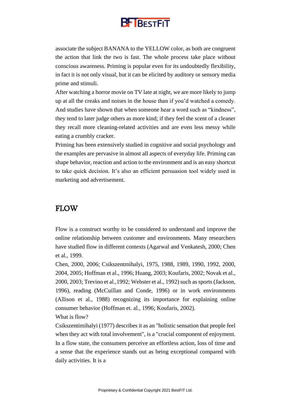

associate the subject BANANA to the YELLOW color, as both are congruent the action that link the two is fast. The whole process take place without conscious awareness. Priming is popular even for its undoubtedly flexibility, in fact it is not only visual, but it can be elicited by auditory or sensory media prime and stimuli.

After watching a horror movie on TV late at night, we are more likely to jump up at all the creaks and noises in the house than if you'd watched a comedy. And studies have shown that when someone hear a word such as "kindness", they tend to later judge others as more kind; if they feel the scent of a cleaner they recall more cleaning-related activities and are even less messy while eating a crumbly cracker.

Priming has been extensively studied in cognitive and social psychology and the examples are pervasive in almost all aspects of everyday life. Priming can shape behavior, reaction and action to the environment and is an easy shortcut to take quick decision. It's also an efficient persuasion tool widely used in marketing and advertisement.

### FLOW

Flow is a construct worthy to be considered to understand and improve the online relationship between customer and environments. Many researchers have studied flow in different contexts (Agarwal and Venkatesh, 2000; Chen et al., 1999.

Chen, 2000, 2006; Csikszentmihalyi, 1975, 1988, 1989, 1990, 1992, 2000, 2004, 2005; Hoffman et al., 1996; Huang, 2003; Koufaris, 2002; Novak et al., 2000, 2003; Trevino et al.,1992; Webster et al., 1992) such as sports (Jackson, 1996), reading (McCuillan and Conde, 1996) or in work environments (Allison et al., 1988) recognizing its importance for explaining online consumer behavior (Hoffman et. al., 1996; Koufaris, 2002).

What is flow?

Csikszentimihalyi (1977) describes it as an "holistic sensation that people feel when they act with total involvement", is a "crucial component of enjoyment. In a flow state, the consumers perceive an effortless action, loss of time and a sense that the experience stands out as being exceptional compared with daily activities. It is a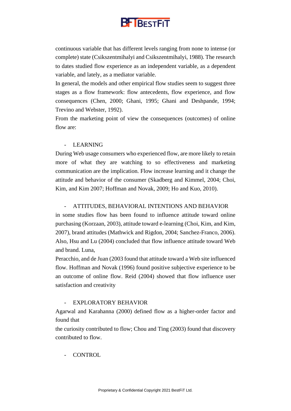

continuous variable that has different levels ranging from none to intense (or complete) state (Csikszentmihalyi and Csikszentmihalyi, 1988). The research to dates studied flow experience as an independent variable, as a dependent variable, and lately, as a mediator variable.

In general, the models and other empirical flow studies seem to suggest three stages as a flow framework: flow antecedents, flow experience, and flow consequences (Chen, 2000; Ghani, 1995; Ghani and Deshpande, 1994; Trevino and Webster, 1992).

From the marketing point of view the consequences (outcomes) of online flow are:

#### **LEARNING**

During Web usage consumers who experienced flow, are more likely to retain more of what they are watching to so effectiveness and marketing communication are the implication. Flow increase learning and it change the attitude and behavior of the consumer (Skadberg and Kimmel, 2004; Choi, Kim, and Kim 2007; Hoffman and Novak, 2009; Ho and Kuo, 2010).

#### - ATTITUDES, BEHAVIORAL INTENTIONS AND BEHAVIOR

in some studies flow has been found to influence attitude toward online purchasing (Korzaan, 2003), attitude toward e-learning (Choi, Kim, and Kim, 2007), brand attitudes (Mathwick and Rigdon, 2004; Sanchez-Franco, 2006). Also, Hsu and Lu (2004) concluded that flow influence attitude toward Web and brand. Luna,

Peracchio, and de Juan (2003 found that attitude toward a Web site influenced flow. Hoffman and Novak (1996) found positive subjective experience to be an outcome of online flow. Reid (2004) showed that flow influence user satisfaction and creativity

#### - EXPLORATORY BEHAVIOR

Agarwal and Karahanna (2000) defined flow as a higher-order factor and found that

the curiosity contributed to flow; Chou and Ting (2003) found that discovery contributed to flow.

- CONTROL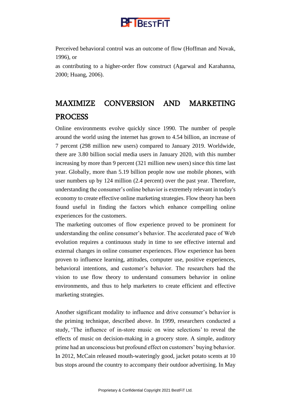

Perceived behavioral control was an outcome of flow (Hoffman and Novak, 1996), or

as contributing to a higher-order flow construct (Agarwal and Karahanna, 2000; Huang, 2006).

## MAXIMIZE CONVERSION AND MARKETING PROCESS

Online environments evolve quickly since 1990. The number of people around the world using the internet has grown to 4.54 billion, an increase of 7 percent (298 million new users) compared to January 2019. Worldwide, there are 3.80 billion social media users in January 2020, with this number increasing by more than 9 percent (321 million new users) since this time last year. Globally, more than 5.19 billion people now use mobile phones, with user numbers up by 124 million (2.4 percent) over the past year. Therefore, understanding the consumer's online behavior is extremely relevant in today's economy to create effective online marketing strategies. Flow theory has been found useful in finding the factors which enhance compelling online experiences for the customers.

The marketing outcomes of flow experience proved to be prominent for understanding the online consumer's behavior. The accelerated pace of Web evolution requires a continuous study in time to see effective internal and external changes in online consumer experiences. Flow experience has been proven to influence learning, attitudes, computer use, positive experiences, behavioral intentions, and customer's behavior. The researchers had the vision to use flow theory to understand consumers behavior in online environments, and thus to help marketers to create efficient and effective marketing strategies.

Another significant modality to influence and drive consumer's behavior is the priming technique, described above. In 1999, researchers conducted a study, 'The influence of in-store music on wine selections' to reveal the effects of music on decision-making in a grocery store. A simple, auditory prime had an unconscious but profound effect on customers' buying behavior. In 2012, McCain released mouth-wateringly good, jacket potato scents at 10 bus stops around the country to accompany their outdoor advertising. In May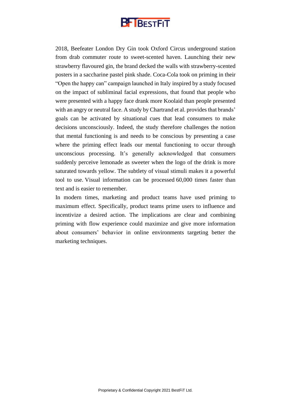# **B-BESTFIT**

2018, Beefeater London Dry Gin took Oxford Circus underground station from drab commuter route to sweet-scented haven. Launching their new strawberry flavoured gin, the brand decked the walls with strawberry-scented posters in a saccharine pastel pink shade. Coca-Cola took on priming in their "Open the happy can" campaign launched in Italy inspired by a study focused on the impact of subliminal facial expressions, that found that people who were presented with a happy face drank more Koolaid than people presented with an angry or neutral face. A study by Chartrand et al. provides that brands' goals can be activated by situational cues that lead consumers to make decisions unconsciously. Indeed, the study therefore challenges the notion that mental functioning is and needs to be conscious by presenting a case where the priming effect leads our mental functioning to occur through unconscious processing. It's generally acknowledged that consumers suddenly perceive lemonade as sweeter when the logo of the drink is more saturated towards yellow. The subtlety of visual stimuli makes it a powerful tool to use. [Visual information can be processed](http://www.t-sciences.com/news/humans-process-visual-data-better) 60,000 times faster than text and is easier to remember.

In modern times, marketing and product teams have used priming to maximum effect. Specifically, product teams prime users to influence and incentivize a desired action. The implications are clear and combining priming with flow experience could maximize and give more information about consumers' behavior in online environments targeting better the marketing techniques.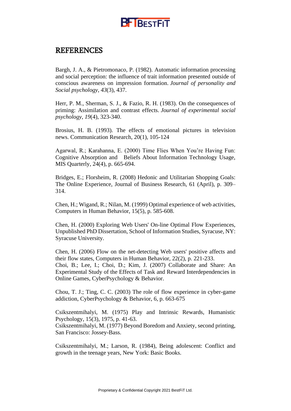

## REFERENCES

Bargh, J. A., & Pietromonaco, P. (1982). Automatic information processing and social perception: the influence of trait information presented outside of conscious awareness on impression formation. *Journal of personality and Social psychology*, *43*(3), 437.

Herr, P. M., Sherman, S. J., & Fazio, R. H. (1983). On the consequences of priming: Assimilation and contrast effects. *Journal of experimental social psychology*, *19*(4), 323-340.

Brosius, H. B. (1993). The effects of emotional pictures in television news. Communication Research, 20(1), 105-124

Agarwal, R.; Karahanna, E. (2000) Time Flies When You're Having Fun: Cognitive Absorption and Beliefs About Information Technology Usage, MIS Quarterly, 24(4), p. 665-694.

Bridges, E.; Florsheim, R. (2008) Hedonic and Utilitarian Shopping Goals: The Online Experience, Journal of Business Research, 61 (April), p. 309– 314.

Chen, H.; Wigand, R.; Nilan, M. (1999) Optimal experience of web activities, Computers in Human Behavior, 15(5), p. 585-608.

Chen, H. (2000) Exploring Web Users' On-line Optimal Flow Experiences, Unpublished PhD Dissertation, School of Information Studies, Syracuse, NY: Syracuse University.

Chen, H. (2006) Flow on the net-detecting Web users' positive affects and their flow states, Computers in Human Behavior, 22(2), p. 221-233. Choi, B.; Lee, I.; Choi, D.; Kim, J. (2007) Collaborate and Share: An Experimental Study of the Effects of Task and Reward Interdependencies in Online Games, CyberPsychology & Behavior.

Chou, T. J.; Ting, C. C. (2003) The role of flow experience in cyber-game addiction, CyberPsychology & Behavior, 6, p. 663-675

Csikszentmihalyi, M. (1975) Play and Intrinsic Rewards, Humanistic Psychology, 15(3), 1975, p. 41-63.

Csikszentmihalyi, M. (1977) Beyond Boredom and Anxiety, second printing, San Francisco: Jossey-Bass.

Csikszentmihalyi, M.; Larson, R. (1984), Being adolescent: Conflict and growth in the teenage years, New York: Basic Books.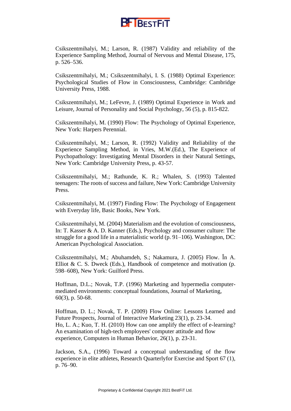

Csikszentmihalyi, M.; Larson, R. (1987) Validity and reliability of the Experience Sampling Method, Journal of Nervous and Mental Disease, 175, p. 526–536.

Csikszentmihalyi, M.; Csikszentmihalyi, I. S. (1988) Optimal Experience: Psychological Studies of Flow in Consciousness, Cambridge: Cambridge University Press, 1988.

Csikszentmihalyi, M.; LeFevre, J. (1989) Optimal Experience in Work and Leisure, Journal of Personality and Social Psychology, 56 (5), p. 815-822.

Csikszentmihalyi, M. (1990) Flow: The Psychology of Optimal Experience, New York: Harpers Perennial.

Csikszentmihalyi, M.; Larson, R. (1992) Validity and Reliability of the Experience Sampling Method, in Vries, M.W.(Ed.), The Experience of Psychopathology: Investigating Mental Disorders in their Natural Settings, New York: Cambridge University Press, p. 43-57.

Csikszentmihalyi, M.; Rathunde, K. R.; Whalen, S. (1993) Talented teenagers: The roots of success and failure, New York: Cambridge University Press.

Csikszentmihalyi, M. (1997) Finding Flow: The Psychology of Engagement with Everyday life, Basic Books, New York.

Csikszentmihalyi, M. (2004) Materialism and the evolution of consciousness, In: T. Kasser & A. D. Kanner (Eds.), Psychology and consumer culture: The struggle for a good life in a materialistic world (p. 91–106). Washington, DC: American Psychological Association.

Csikszentmihalyi, M.; Abuhamdeh, S.; Nakamura, J. (2005) Flow. În A. Elliot & C. S. Dweck (Eds.), Handbook of competence and motivation (p. 598–608), New York: Guilford Press.

Hoffman, D.L.; Novak, T.P. (1996) Marketing and hypermedia computermediated environments: conceptual foundations, Journal of Marketing, 60(3), p. 50-68.

Hoffman, D. L.; Novak, T. P. (2009) Flow Online: Lessons Learned and Future Prospects, Journal of Interactive Marketing 23(1), p. 23-34. Ho, L. A.; Kuo, T. H. (2010) How can one amplify the effect of e-learning? An examination of high-tech employees' computer attitude and flow experience, Computers in Human Behavior, 26(1), p. 23-31.

Jackson, S.A., (1996) Toward a conceptual understanding of the flow experience in elite athletes, Research Quarterlyfor Exercise and Sport 67 (1), p. 76–90.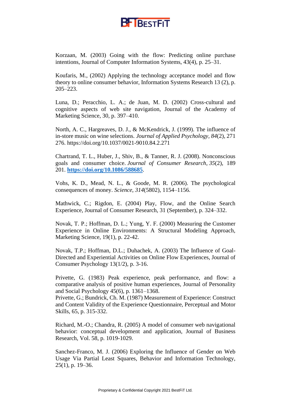

Korzaan, M. (2003) Going with the flow: Predicting online purchase intentions, Journal of Computer Information Systems, 43(4), p. 25–31.

Koufaris, M., (2002) Applying the technology acceptance model and flow theory to online consumer behavior, Information Systems Research 13 (2), p. 205–223.

Luna, D.; Peracchio, L. A.; de Juan, M. D. (2002) Cross-cultural and cognitive aspects of web site navigation, Journal of the Academy of Marketing Science, 30, p. 397–410.

North, A. C., Hargreaves, D. J., & McKendrick, J. (1999). The influence of in-store music on wine selections. *Journal of Applied Psychology, 84*(2), 271 276. [https://doi.org/10.1037/0021-9010.84.2.271](https://psycnet.apa.org/doi/10.1037/0021-9010.84.2.271)

Chartrand, T. L., Huber, J., Shiv, B., & Tanner, R. J. (2008). Nonconscious goals and consumer choice. *Journal of Consumer Research*, *35*(2), 189 201. **<https://doi.org/10.1086/588685>**.

Vohs, K. D., Mead, N. L., & Goode, M. R. (2006). The psychological consequences of money. *Science*, *314*(5802), 1154–1156.

Mathwick, C.; Rigdon, E. (2004) Play, Flow, and the Online Search Experience, Journal of Consumer Research, 31 (September), p. 324–332.

Novak, T. P.; Hoffman, D. L.; Yung, Y. F. (2000) Measuring the Customer Experience in Online Environments: A Structural Modeling Approach, Marketing Science, 19(1), p. 22-42.

Novak, T.P.; Hoffman, D.L.; Duhachek, A. (2003) The Influence of Goal-Directed and Experiential Activities on Online Flow Experiences, Journal of Consumer Psychology 13(1/2), p. 3-16.

Privette, G. (1983) Peak experience, peak performance, and flow: a comparative analysis of positive human experiences, Journal of Personality and Social Psychology 45(6), p. 1361–1368.

Privette, G.; Bundrick, Ch. M. (1987) Measurement of Experience: Construct and Content Validity of the Experience Questionnaire, Perceptual and Motor Skills, 65, p. 315-332.

Richard, M.-O.; Chandra, R. (2005) A model of consumer web navigational behavior: conceptual development and application, Journal of Business Research, Vol. 58, p. 1019-1029.

Sanchez-Franco, M. J. (2006) Exploring the Influence of Gender on Web Usage Via Partial Least Squares, Behavior and Information Technology, 25(1), p. 19–36.